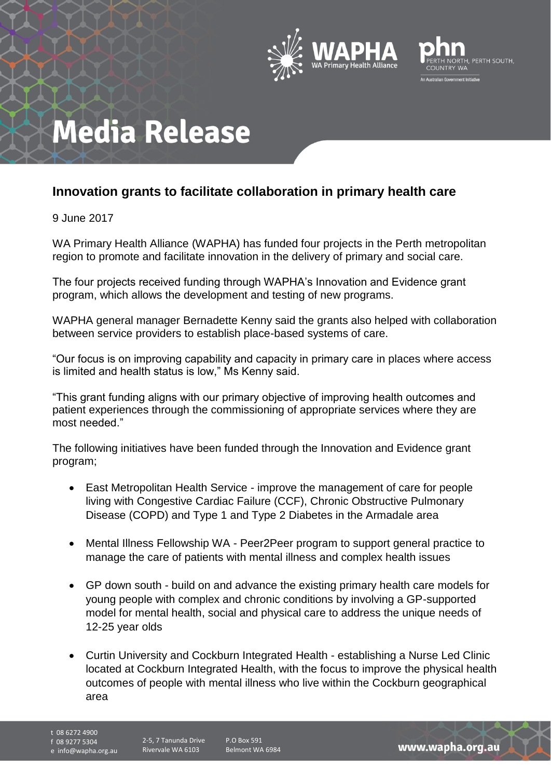



# **Media Release**

### **Innovation grants to facilitate collaboration in primary health care**

9 June 2017

WA Primary Health Alliance (WAPHA) has funded four projects in the Perth metropolitan region to promote and facilitate innovation in the delivery of primary and social care.

The four projects received funding through WAPHA's Innovation and Evidence grant program, which allows the development and testing of new programs.

WAPHA general manager Bernadette Kenny said the grants also helped with collaboration between service providers to establish place-based systems of care.

"Our focus is on improving capability and capacity in primary care in places where access is limited and health status is low," Ms Kenny said.

"This grant funding aligns with our primary objective of improving health outcomes and patient experiences through the commissioning of appropriate services where they are most needed."

The following initiatives have been funded through the Innovation and Evidence grant program;

- East Metropolitan Health Service improve the management of care for people living with Congestive Cardiac Failure (CCF), Chronic Obstructive Pulmonary Disease (COPD) and Type 1 and Type 2 Diabetes in the Armadale area
- Mental Illness Fellowship WA Peer2Peer program to support general practice to manage the care of patients with mental illness and complex health issues
- GP down south build on and advance the existing primary health care models for young people with complex and chronic conditions by involving a GP-supported model for mental health, social and physical care to address the unique needs of 12-25 year olds
- Curtin University and Cockburn Integrated Health establishing a Nurse Led Clinic located at Cockburn Integrated Health, with the focus to improve the physical health outcomes of people with mental illness who live within the Cockburn geographical area

t 08 6272 4900

f 08 9277 5304

e info@wapha.org.au

P.O Box 591 Belmont WA 6984

www.wapha.org.au